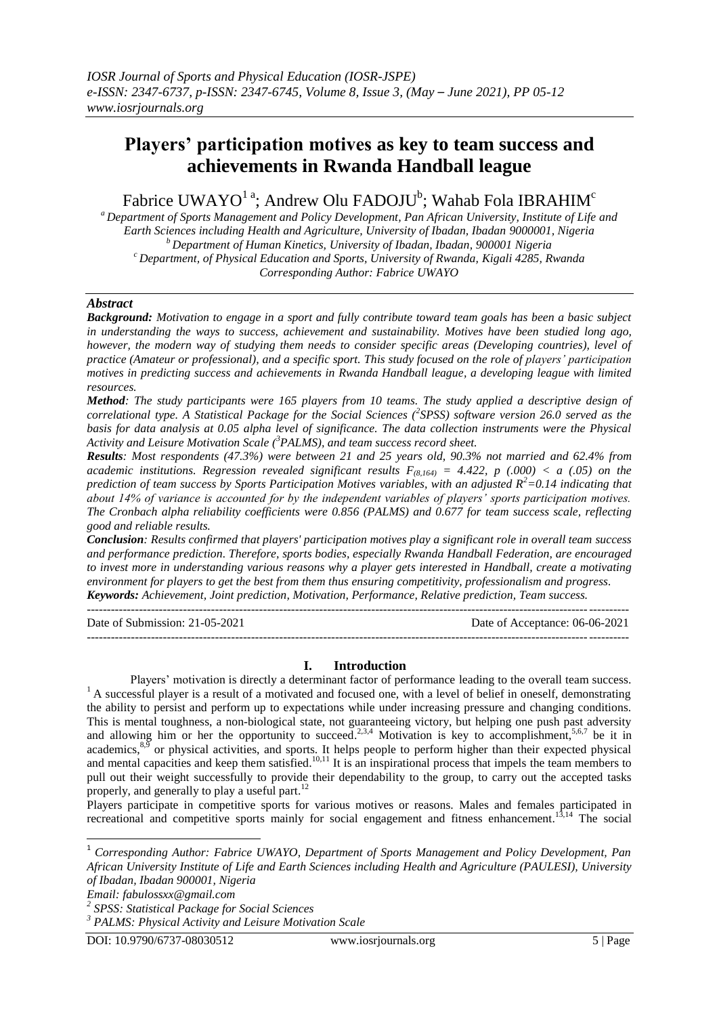# **Players' participation motives as key to team success and achievements in Rwanda Handball league**

Fabrice UWAYO $^{\rm l}$  a; Andrew Olu FADOJU $^{\rm b}$ ; Wahab Fola IBRAHIM $^{\rm c}$ 

*<sup>a</sup> Department of Sports Management and Policy Development, Pan African University, Institute of Life and Earth Sciences including Health and Agriculture, University of Ibadan, Ibadan 9000001, Nigeria <sup>b</sup> Department of Human Kinetics, University of Ibadan, Ibadan, 900001 Nigeria <sup>c</sup> Department, of Physical Education and Sports, University of Rwanda, Kigali 4285, Rwanda Corresponding Author: Fabrice UWAYO*

# *Abstract*

*Background: Motivation to engage in a sport and fully contribute toward team goals has been a basic subject in understanding the ways to success, achievement and sustainability. Motives have been studied long ago, however, the modern way of studying them needs to consider specific areas (Developing countries), level of practice (Amateur or professional), and a specific sport. This study focused on the role of players' participation motives in predicting success and achievements in Rwanda Handball league, a developing league with limited resources.*

*Method: The study participants were 165 players from 10 teams. The study applied a descriptive design of correlational type. A Statistical Package for the Social Sciences (<sup>2</sup> SPSS) software version 26.0 served as the basis for data analysis at 0.05 alpha level of significance. The data collection instruments were the Physical Activity and Leisure Motivation Scale (<sup>3</sup>PALMS), and team success record sheet.* 

*Results: Most respondents (47.3%) were between 21 and 25 years old, 90.3% not married and 62.4% from academic institutions. Regression revealed significant results*  $F_{(8,164)} = 4.422$ , p (.000) < a (.05) on the *prediction of team success by Sports Participation Motives variables, with an adjusted R<sup>2</sup>=0.14 indicating that about 14% of variance is accounted for by the independent variables of players' sports participation motives. The Cronbach alpha reliability coefficients were 0.856 (PALMS) and 0.677 for team success scale, reflecting good and reliable results.*

*Conclusion: Results confirmed that players' participation motives play a significant role in overall team success and performance prediction. Therefore, sports bodies, especially Rwanda Handball Federation, are encouraged to invest more in understanding various reasons why a player gets interested in Handball, create a motivating environment for players to get the best from them thus ensuring competitivity, professionalism and progress. Keywords: Achievement, Joint prediction, Motivation, Performance, Relative prediction, Team success.*

---------------------------------------------------------------------------------------------------------------------------------------

Date of Submission: 21-05-2021 Date of Acceptance: 06-06-2021 ---------------------------------------------------------------------------------------------------------------------------------------

### **I. Introduction**

Players' motivation is directly a determinant factor of performance leading to the overall team success. <sup>1</sup> A successful player is a result of a motivated and focused one, with a level of belief in oneself, demonstrating the ability to persist and perform up to expectations while under increasing pressure and changing conditions. This is mental toughness, a non-biological state, not guaranteeing victory, but helping one push past adversity and allowing him or her the opportunity to succeed.<sup>2,3,4</sup> Motivation is key to accomplishment,<sup>5,6,7</sup> be it in academics, $8.5$  or physical activities, and sports. It helps people to perform higher than their expected physical and mental capacities and keep them satisfied.<sup>10,11</sup> It is an inspirational process that impels the team members to pull out their weight successfully to provide their dependability to the group, to carry out the accepted tasks properly, and generally to play a useful part.<sup>12</sup>

Players participate in competitive sports for various motives or reasons. Males and females participated in recreational and competitive sports mainly for social engagement and fitness enhancement.<sup>13,14</sup> The social

*Email: fabulossxx@gmail.com*

**-**

<sup>1</sup> *Corresponding Author: Fabrice UWAYO, Department of Sports Management and Policy Development, Pan African University Institute of Life and Earth Sciences including Health and Agriculture (PAULESI), University of Ibadan, Ibadan 900001, Nigeria*

*<sup>2</sup> SPSS: Statistical Package for Social Sciences*

*<sup>3</sup> PALMS: Physical Activity and Leisure Motivation Scale*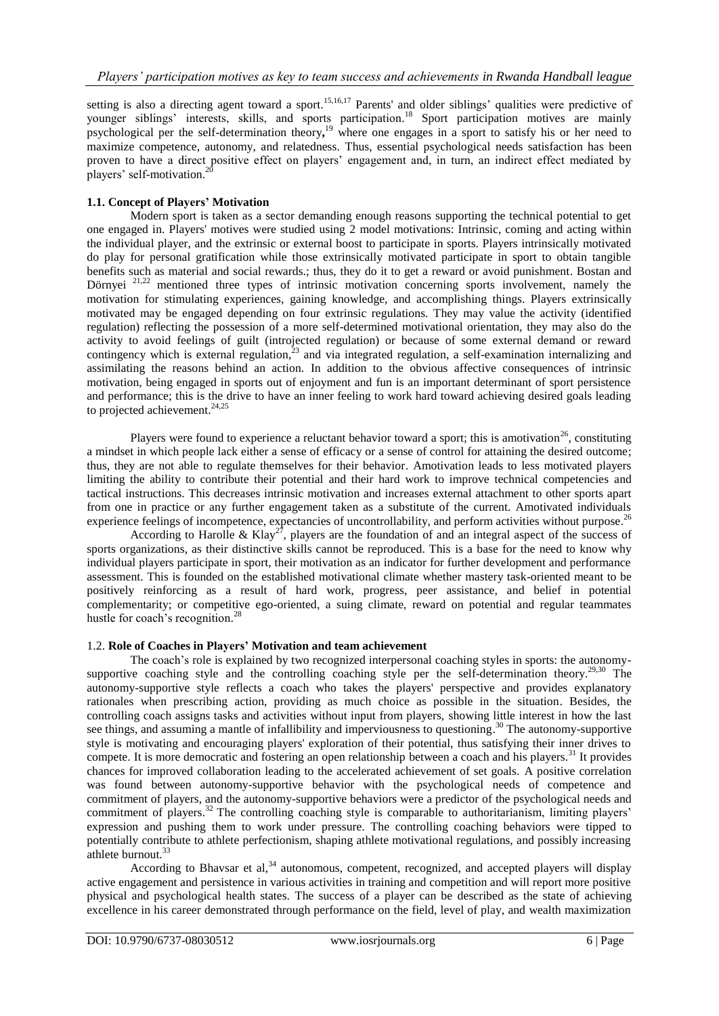setting is also a directing agent toward a sport.<sup>15,16,17</sup> Parents' and older siblings' qualities were predictive of younger siblings' interests, skills, and sports participation. <sup>18</sup> Sport participation motives are mainly psychological per the self-determination theory**,** <sup>19</sup> where one engages in a sport to satisfy his or her need to maximize competence, autonomy, and relatedness. Thus, essential psychological needs satisfaction has been proven to have a direct positive effect on players' engagement and, in turn, an indirect effect mediated by players' self-motivation. 20

# **1.1. Concept of Players' Motivation**

Modern sport is taken as a sector demanding enough reasons supporting the technical potential to get one engaged in. Players' motives were studied using 2 model motivations: Intrinsic, coming and acting within the individual player, and the extrinsic or external boost to participate in sports. Players intrinsically motivated do play for personal gratification while those extrinsically motivated participate in sport to obtain tangible benefits such as material and social rewards.; thus, they do it to get a reward or avoid punishment. Bostan and Dörnyei<sup>21,22</sup> mentioned three types of intrinsic motivation concerning sports involvement, namely the motivation for stimulating experiences, gaining knowledge, and accomplishing things. Players extrinsically motivated may be engaged depending on four extrinsic regulations. They may value the activity (identified regulation) reflecting the possession of a more self-determined motivational orientation, they may also do the activity to avoid feelings of guilt (introjected regulation) or because of some external demand or reward contingency which is external regulation, $^{23}$  and via integrated regulation, a self-examination internalizing and assimilating the reasons behind an action. In addition to the obvious affective consequences of intrinsic motivation, being engaged in sports out of enjoyment and fun is an important determinant of sport persistence and performance; this is the drive to have an inner feeling to work hard toward achieving desired goals leading to projected achievement. 24,25

Players were found to experience a reluctant behavior toward a sport; this is amotivation<sup>26</sup>, constituting a mindset in which people lack either a sense of efficacy or a sense of control for attaining the desired outcome; thus, they are not able to regulate themselves for their behavior. Amotivation leads to less motivated players limiting the ability to contribute their potential and their hard work to improve technical competencies and tactical instructions. This decreases intrinsic motivation and increases external attachment to other sports apart from one in practice or any further engagement taken as a substitute of the current. Amotivated individuals experience feelings of incompetence, expectancies of uncontrollability, and perform activities without purpose.<sup>26</sup>

According to Harolle & Klay<sup>27</sup>, players are the foundation of and an integral aspect of the success of sports organizations, as their distinctive skills cannot be reproduced. This is a base for the need to know why individual players participate in sport, their motivation as an indicator for further development and performance assessment. This is founded on the established motivational climate whether mastery task-oriented meant to be positively reinforcing as a result of hard work, progress, peer assistance, and belief in potential complementarity; or competitive ego-oriented, a suing climate, reward on potential and regular teammates hustle for coach's recognition.<sup>28</sup>

# 1.2. **Role of Coaches in Players' Motivation and team achievement**

The coach's role is explained by two recognized interpersonal coaching styles in sports: the autonomysupportive coaching style and the controlling coaching style per the self-determination theory.<sup>29,30</sup> The autonomy-supportive style reflects a coach who takes the players' perspective and provides explanatory rationales when prescribing action, providing as much choice as possible in the situation. Besides, the controlling coach assigns tasks and activities without input from players, showing little interest in how the last see things, and assuming a mantle of infallibility and imperviousness to questioning.<sup>30</sup> The autonomy-supportive style is motivating and encouraging players' exploration of their potential, thus satisfying their inner drives to compete. It is more democratic and fostering an open relationship between a coach and his players.<sup>31</sup> It provides chances for improved collaboration leading to the accelerated achievement of set goals. A positive correlation was found between autonomy-supportive behavior with the psychological needs of competence and commitment of players, and the autonomy-supportive behaviors were a predictor of the psychological needs and commitment of players.<sup>32</sup> The controlling coaching style is comparable to authoritarianism, limiting players' expression and pushing them to work under pressure. The controlling coaching behaviors were tipped to potentially contribute to athlete perfectionism, shaping athlete motivational regulations, and possibly increasing athlete burnout.<sup>33</sup>

According to Bhavsar et al,  $34$  autonomous, competent, recognized, and accepted players will display active engagement and persistence in various activities in training and competition and will report more positive physical and psychological health states. The success of a player can be described as the state of achieving excellence in his career demonstrated through performance on the field, level of play, and wealth maximization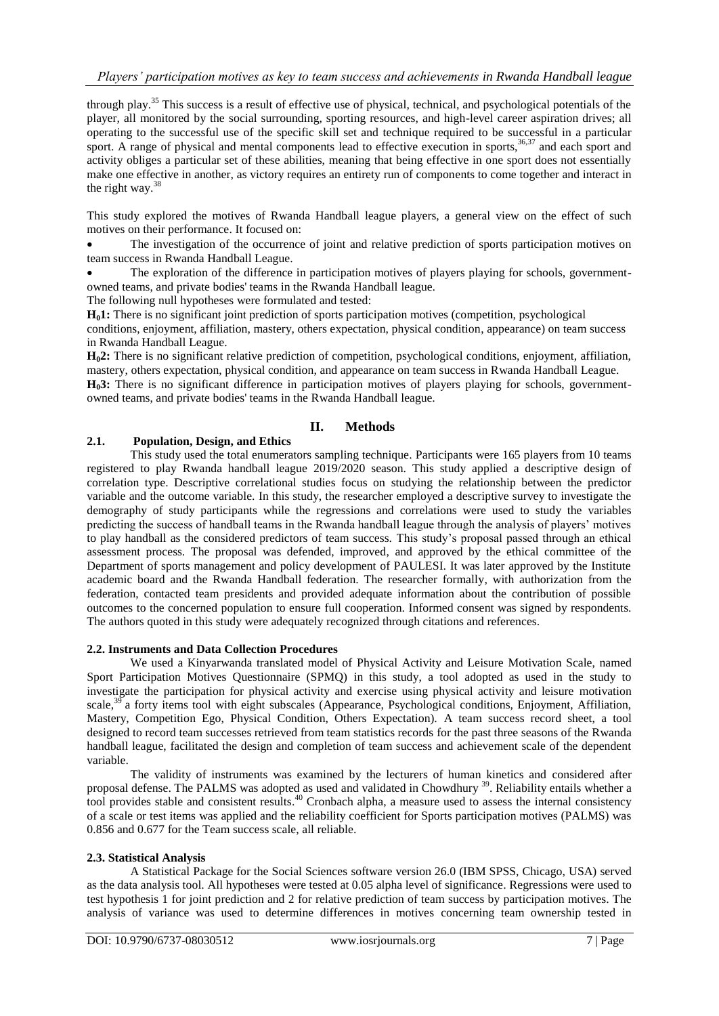# *Players' participation motives as key to team success and achievements in Rwanda Handball league*

through play.<sup>35</sup> This success is a result of effective use of physical, technical, and psychological potentials of the player, all monitored by the social surrounding, sporting resources, and high-level career aspiration drives; all operating to the successful use of the specific skill set and technique required to be successful in a particular sport. A range of physical and mental components lead to effective execution in sports,<sup>36,37</sup> and each sport and activity obliges a particular set of these abilities, meaning that being effective in one sport does not essentially make one effective in another, as victory requires an entirety run of components to come together and interact in the right way. 38

This study explored the motives of Rwanda Handball league players, a general view on the effect of such motives on their performance. It focused on:

 The investigation of the occurrence of joint and relative prediction of sports participation motives on team success in Rwanda Handball League.

 The exploration of the difference in participation motives of players playing for schools, governmentowned teams, and private bodies' teams in the Rwanda Handball league.

The following null hypotheses were formulated and tested:

**H01:** There is no significant joint prediction of sports participation motives (competition, psychological conditions, enjoyment, affiliation, mastery, others expectation, physical condition, appearance) on team success in Rwanda Handball League.

**H02:** There is no significant relative prediction of competition, psychological conditions, enjoyment, affiliation, mastery, others expectation, physical condition, and appearance on team success in Rwanda Handball League.

**H03:** There is no significant difference in participation motives of players playing for schools, governmentowned teams, and private bodies' teams in the Rwanda Handball league.

# **II. Methods**

# **2.1. Population, Design, and Ethics**

This study used the total enumerators sampling technique. Participants were 165 players from 10 teams registered to play Rwanda handball league 2019/2020 season. This study applied a descriptive design of correlation type. Descriptive correlational studies focus on studying the relationship between the predictor variable and the outcome variable. In this study, the researcher employed a descriptive survey to investigate the demography of study participants while the regressions and correlations were used to study the variables predicting the success of handball teams in the Rwanda handball league through the analysis of players' motives to play handball as the considered predictors of team success. This study's proposal passed through an ethical assessment process. The proposal was defended, improved, and approved by the ethical committee of the Department of sports management and policy development of PAULESI. It was later approved by the Institute academic board and the Rwanda Handball federation. The researcher formally, with authorization from the federation, contacted team presidents and provided adequate information about the contribution of possible outcomes to the concerned population to ensure full cooperation. Informed consent was signed by respondents. The authors quoted in this study were adequately recognized through citations and references.

### **2.2. Instruments and Data Collection Procedures**

We used a Kinyarwanda translated model of Physical Activity and Leisure Motivation Scale, named Sport Participation Motives Questionnaire (SPMQ) in this study, a tool adopted as used in the study to investigate the participation for physical activity and exercise using physical activity and leisure motivation scale,<sup>39</sup> a forty items tool with eight subscales (Appearance, Psychological conditions, Enjoyment, Affiliation, Mastery, Competition Ego, Physical Condition, Others Expectation). A team success record sheet, a tool designed to record team successes retrieved from team statistics records for the past three seasons of the Rwanda handball league, facilitated the design and completion of team success and achievement scale of the dependent variable.

The validity of instruments was examined by the lecturers of human kinetics and considered after proposal defense. The PALMS was adopted as used and validated in Chowdhury<sup>39</sup>. Reliability entails whether a tool provides stable and consistent results. <sup>40</sup> Cronbach alpha, a measure used to assess the internal consistency of a scale or test items was applied and the reliability coefficient for Sports participation motives (PALMS) was 0.856 and 0.677 for the Team success scale, all reliable.

# **2.3. Statistical Analysis**

A Statistical Package for the Social Sciences software version 26.0 (IBM SPSS, Chicago, USA) served as the data analysis tool. All hypotheses were tested at 0.05 alpha level of significance. Regressions were used to test hypothesis 1 for joint prediction and 2 for relative prediction of team success by participation motives. The analysis of variance was used to determine differences in motives concerning team ownership tested in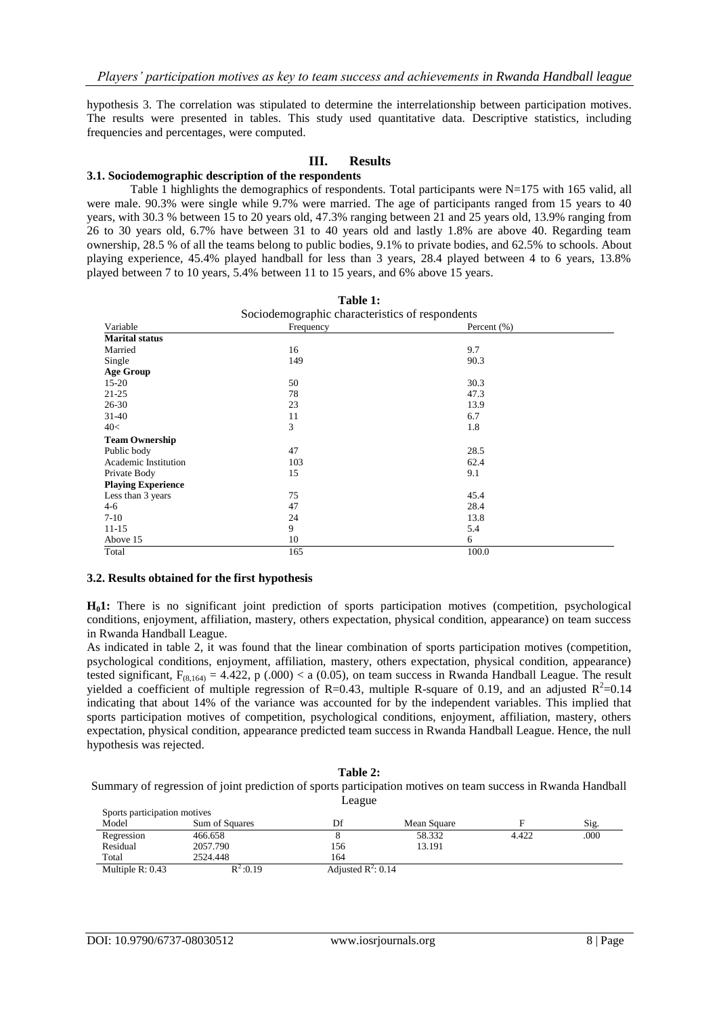hypothesis 3. The correlation was stipulated to determine the interrelationship between participation motives. The results were presented in tables. This study used quantitative data. Descriptive statistics, including frequencies and percentages, were computed.

### **III. Results**

### **3.1. Sociodemographic description of the respondents**

Table 1 highlights the demographics of respondents. Total participants were  $N=175$  with 165 valid, all were male. 90.3% were single while 9.7% were married. The age of participants ranged from 15 years to 40 years, with 30.3 % between 15 to 20 years old, 47.3% ranging between 21 and 25 years old, 13.9% ranging from 26 to 30 years old, 6.7% have between 31 to 40 years old and lastly 1.8% are above 40. Regarding team ownership, 28.5 % of all the teams belong to public bodies, 9.1% to private bodies, and 62.5% to schools. About playing experience, 45.4% played handball for less than 3 years, 28.4 played between 4 to 6 years, 13.8% played between 7 to 10 years, 5.4% between 11 to 15 years, and 6% above 15 years.

| Table 1:<br>Sociodemographic characteristics of respondents |     |       |  |  |  |  |
|-------------------------------------------------------------|-----|-------|--|--|--|--|
|                                                             |     |       |  |  |  |  |
| <b>Marital status</b>                                       |     |       |  |  |  |  |
| Married                                                     | 16  | 9.7   |  |  |  |  |
| Single                                                      | 149 | 90.3  |  |  |  |  |
| <b>Age Group</b>                                            |     |       |  |  |  |  |
| $15 - 20$                                                   | 50  | 30.3  |  |  |  |  |
| $21 - 25$                                                   | 78  | 47.3  |  |  |  |  |
| $26 - 30$                                                   | 23  | 13.9  |  |  |  |  |
| $31-40$                                                     | 11  | 6.7   |  |  |  |  |
| 40<                                                         | 3   | 1.8   |  |  |  |  |
| <b>Team Ownership</b>                                       |     |       |  |  |  |  |
| Public body                                                 | 47  | 28.5  |  |  |  |  |
| Academic Institution                                        | 103 | 62.4  |  |  |  |  |
| Private Body                                                | 15  | 9.1   |  |  |  |  |
| <b>Playing Experience</b>                                   |     |       |  |  |  |  |
| Less than 3 years                                           | 75  | 45.4  |  |  |  |  |
| $4-6$                                                       | 47  | 28.4  |  |  |  |  |
| $7-10$                                                      | 24  | 13.8  |  |  |  |  |
| $11 - 15$                                                   | 9   | 5.4   |  |  |  |  |
| Above 15                                                    | 10  | 6     |  |  |  |  |
| Total                                                       | 165 | 100.0 |  |  |  |  |

#### **3.2. Results obtained for the first hypothesis**

**H01:** There is no significant joint prediction of sports participation motives (competition, psychological conditions, enjoyment, affiliation, mastery, others expectation, physical condition, appearance) on team success in Rwanda Handball League.

As indicated in table 2, it was found that the linear combination of sports participation motives (competition, psychological conditions, enjoyment, affiliation, mastery, others expectation, physical condition, appearance) tested significant,  $F_{(8,164)} = 4.422$ , p (.000) < a (0.05), on team success in Rwanda Handball League. The result yielded a coefficient of multiple regression of R=0.43, multiple R-square of 0.19, and an adjusted  $R^2$ =0.14 indicating that about 14% of the variance was accounted for by the independent variables. This implied that sports participation motives of competition, psychological conditions, enjoyment, affiliation, mastery, others expectation, physical condition, appearance predicted team success in Rwanda Handball League. Hence, the null hypothesis was rejected.

#### **Table 2:** Summary of regression of joint prediction of sports participation motives on team success in Rwanda Handball League Sports participation motives

| sports participation motives |                |                                |             |       |      |
|------------------------------|----------------|--------------------------------|-------------|-------|------|
| Model                        | Sum of Squares | Df                             | Mean Square |       | Sig. |
| Regression                   | 466.658        |                                | 58.332      | 4.422 | .000 |
| Residual                     | 2057.790       | 156                            | 13.191      |       |      |
| Total                        | 2524.448       | 164                            |             |       |      |
| Multiple $R: 0.43$           | $R^2:0.19$     | Adjusted $\mathbb{R}^2$ : 0.14 |             |       |      |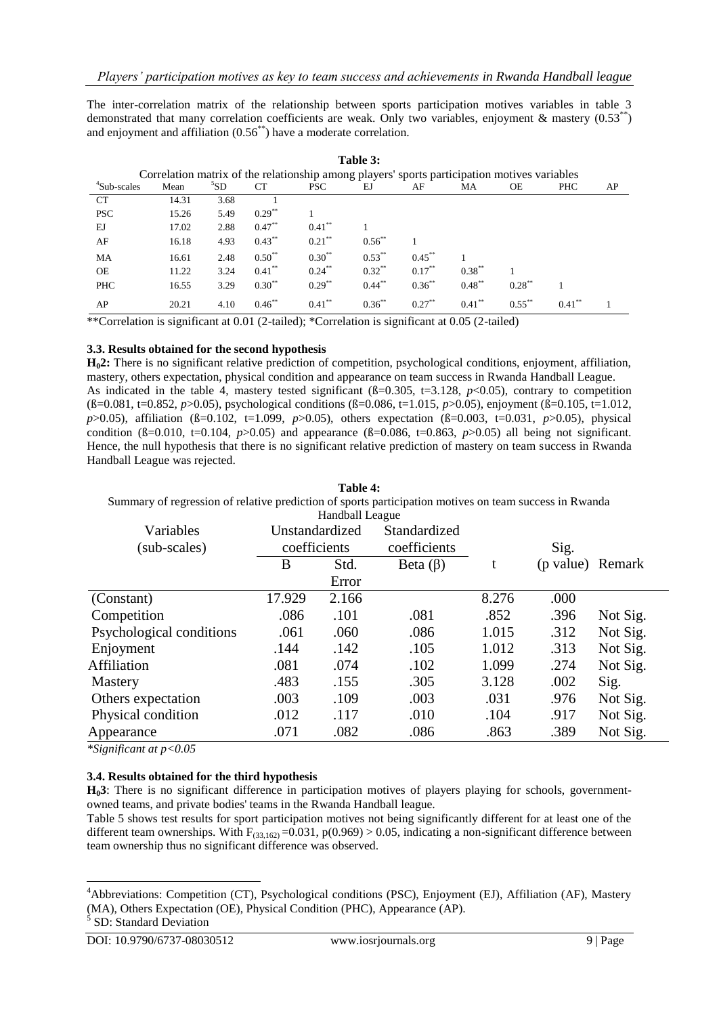The inter-correlation matrix of the relationship between sports participation motives variables in table 3 demonstrated that many correlation coefficients are weak. Only two variables, enjoyment & mastery  $(0.53^{**})$ and enjoyment and affiliation  $(0.56^{**})$  have a moderate correlation.

| .                                                                                            |       |                 |             |            |             |           |           |           |            |    |
|----------------------------------------------------------------------------------------------|-------|-----------------|-------------|------------|-------------|-----------|-----------|-----------|------------|----|
| Correlation matrix of the relationship among players' sports participation motives variables |       |                 |             |            |             |           |           |           |            |    |
| <sup>4</sup> Sub-scales                                                                      | Mean  | <sup>5</sup> SD | <b>CT</b>   | <b>PSC</b> | EJ          | AF        | МA        | OЕ        | <b>PHC</b> | AP |
| <b>CT</b>                                                                                    | 14.31 | 3.68            |             |            |             |           |           |           |            |    |
| <b>PSC</b>                                                                                   | 15.26 | 5.49            | $0.29***$   |            |             |           |           |           |            |    |
| EJ                                                                                           | 17.02 | 2.88            | $0.47***$   | $0.41***$  |             |           |           |           |            |    |
| AF                                                                                           | 16.18 | 4.93            | $0.43***$   | $0.21$ **  | $0.56^{**}$ |           |           |           |            |    |
| MA                                                                                           | 16.61 | 2.48            | $0.50^{**}$ | $0.30**$   | $0.53***$   | $0.45***$ |           |           |            |    |
| <b>OE</b>                                                                                    | 11.22 | 3.24            | $0.41***$   | $0.24***$  | $0.32***$   | $0.17***$ | $0.38***$ |           |            |    |
| <b>PHC</b>                                                                                   | 16.55 | 3.29            | $0.30***$   | $0.29***$  | $0.44***$   | $0.36***$ | $0.48***$ | $0.28***$ |            |    |
| AP                                                                                           | 20.21 | 4.10            | $0.46$ **   | $0.41***$  | $0.36***$   | $0.27***$ | $0.41***$ | $0.55***$ | $0.41***$  |    |

**Table 3:**

\*\*Correlation is significant at 0.01 (2-tailed); \*Correlation is significant at 0.05 (2-tailed)

# **3.3. Results obtained for the second hypothesis**

**H02:** There is no significant relative prediction of competition, psychological conditions, enjoyment, affiliation, mastery, others expectation, physical condition and appearance on team success in Rwanda Handball League. As indicated in the table 4, mastery tested significant  $(6=0.305, t=3.128, p<0.05)$ , contrary to competition (ß=0.081, t=0.852, *p*>0.05), psychological conditions (ß=0.086, t=1.015, *p*>0.05), enjoyment (ß=0.105, t=1.012, *p*>0.05), affiliation (ß=0.102, t=1.099, *p*>0.05), others expectation (ß=0.003, t=0.031, *p*>0.05), physical condition ( $\beta$ =0.010, t=0.104, *p*>0.05) and appearance ( $\beta$ =0.086, t=0.863, *p*>0.05) all being not significant. Hence, the null hypothesis that there is no significant relative prediction of mastery on team success in Rwanda Handball League was rejected.

|                                                                                                        |                | Table 4:        |                |       |                  |          |
|--------------------------------------------------------------------------------------------------------|----------------|-----------------|----------------|-------|------------------|----------|
| Summary of regression of relative prediction of sports participation motives on team success in Rwanda |                |                 |                |       |                  |          |
|                                                                                                        |                | Handball League |                |       |                  |          |
| Variables                                                                                              | Unstandardized |                 | Standardized   |       |                  |          |
| (sub-scales)                                                                                           | coefficients   |                 | coefficients   |       | Sig.             |          |
|                                                                                                        | B              | Std.            | Beta $(\beta)$ | t     | (p value) Remark |          |
|                                                                                                        |                | Error           |                |       |                  |          |
| (Constant)                                                                                             | 17.929         | 2.166           |                | 8.276 | .000             |          |
| Competition                                                                                            | .086           | .101            | .081           | .852  | .396             | Not Sig. |
| Psychological conditions                                                                               | .061           | .060            | .086           | 1.015 | .312             | Not Sig. |
| Enjoyment                                                                                              | .144           | .142            | .105           | 1.012 | .313             | Not Sig. |
| <b>Affiliation</b>                                                                                     | .081           | .074            | .102           | 1.099 | .274             | Not Sig. |
| <b>Mastery</b>                                                                                         | .483           | .155            | .305           | 3.128 | .002             | Sig.     |
| Others expectation                                                                                     | .003           | .109            | .003           | .031  | .976             | Not Sig. |
| Physical condition                                                                                     | .012           | .117            | .010           | .104  | .917             | Not Sig. |
| Appearance                                                                                             | .071           | .082            | .086           | .863  | .389             | Not Sig. |

*\*Significant at p<0.05*

# **3.4. Results obtained for the third hypothesis**

**H03**: There is no significant difference in participation motives of players playing for schools, governmentowned teams, and private bodies' teams in the Rwanda Handball league.

Table 5 shows test results for sport participation motives not being significantly different for at least one of the different team ownerships. With  $F_{(33,162)} = 0.031$ ,  $p(0.969) > 0.05$ , indicating a non-significant difference between team ownership thus no significant difference was observed.

1

<sup>4</sup>Abbreviations: Competition (CT), Psychological conditions (PSC), Enjoyment (EJ), Affiliation (AF), Mastery (MA), Others Expectation (OE), Physical Condition (PHC), Appearance (AP).

<sup>&</sup>lt;sup>5</sup> SD: Standard Deviation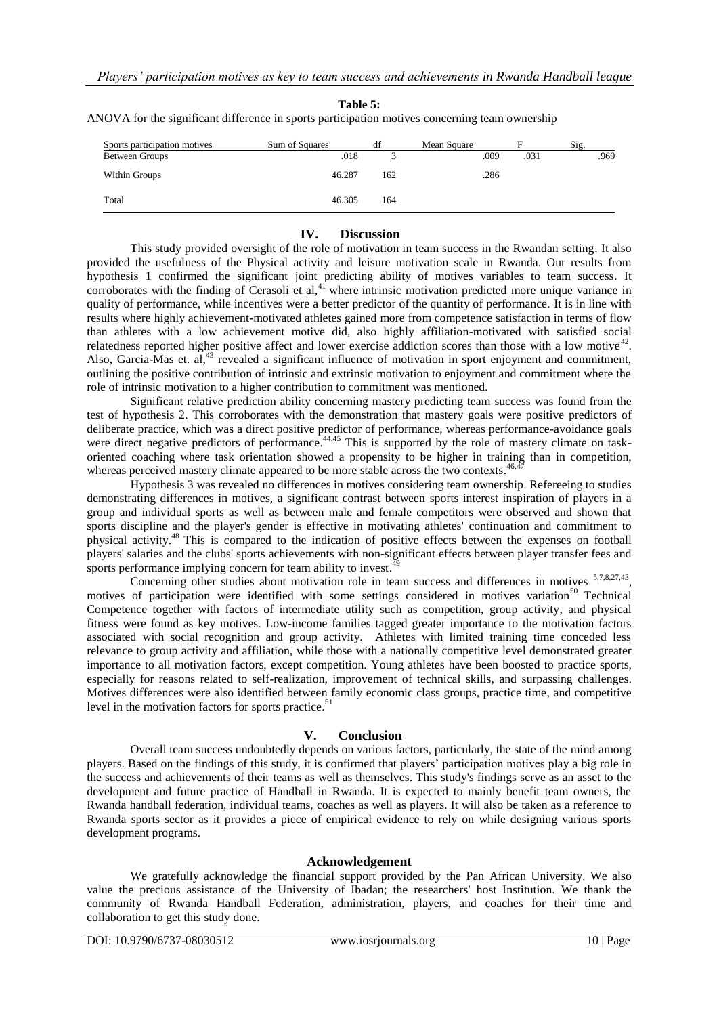| Sports participation motives | Sum of Squares | df                      | Mean Square | Е    | Sig. |
|------------------------------|----------------|-------------------------|-------------|------|------|
| Between Groups               | .018           | $\mathbf{\overline{3}}$ | .009        | .031 | .969 |
| Within Groups                | 46.287         | 162                     | .286        |      |      |
| Total                        | 46.305         | 164                     |             |      |      |

### **Table 5:** ANOVA for the significant difference in sports participation motives concerning team ownership

# **IV. Discussion**

This study provided oversight of the role of motivation in team success in the Rwandan setting. It also provided the usefulness of the Physical activity and leisure motivation scale in Rwanda. Our results from hypothesis 1 confirmed the significant joint predicting ability of motives variables to team success. It corroborates with the finding of Cerasoli et  $al$ ,<sup>41</sup> where intrinsic motivation predicted more unique variance in quality of performance, while incentives were a better predictor of the quantity of performance. It is in line with results where highly achievement-motivated athletes gained more from competence satisfaction in terms of flow than athletes with a low achievement motive did, also highly affiliation-motivated with satisfied social relatedness reported higher positive affect and lower exercise addiction scores than those with a low motive<sup>42</sup>. Also, Garcia-Mas et. al,<sup>43</sup> revealed a significant influence of motivation in sport enjoyment and commitment, outlining the positive contribution of intrinsic and extrinsic motivation to enjoyment and commitment where the role of intrinsic motivation to a higher contribution to commitment was mentioned.

Significant relative prediction ability concerning mastery predicting team success was found from the test of hypothesis 2. This corroborates with the demonstration that mastery goals were positive predictors of deliberate practice, which was a direct positive predictor of performance, whereas performance-avoidance goals were direct negative predictors of performance.<sup>44,45</sup> This is supported by the role of mastery climate on taskoriented coaching where task orientation showed a propensity to be higher in training than in competition, whereas perceived mastery climate appeared to be more stable across the two contexts.<sup>46,47</sup>

Hypothesis 3 was revealed no differences in motives considering team ownership. Refereeing to studies demonstrating differences in motives, a significant contrast between sports interest inspiration of players in a group and individual sports as well as between male and female competitors were observed and shown that sports discipline and the player's gender is effective in motivating athletes' continuation and commitment to physical activity. <sup>48</sup> This is compared to the indication of positive effects between the expenses on football players' salaries and the clubs' sports achievements with non-significant effects between player transfer fees and sports performance implying concern for team ability to invest.<sup>49</sup>

Concerning other studies about motivation role in team success and differences in motives <sup>5,7,8,27,43</sup>, motives of participation were identified with some settings considered in motives variation<sup>50</sup> Technical Competence together with factors of intermediate utility such as competition, group activity, and physical fitness were found as key motives. Low-income families tagged greater importance to the motivation factors associated with social recognition and group activity. Athletes with limited training time conceded less relevance to group activity and affiliation, while those with a nationally competitive level demonstrated greater importance to all motivation factors, except competition. Young athletes have been boosted to practice sports, especially for reasons related to self-realization, improvement of technical skills, and surpassing challenges. Motives differences were also identified between family economic class groups, practice time, and competitive level in the motivation factors for sports practice.<sup>51</sup>

# **V. Conclusion**

Overall team success undoubtedly depends on various factors, particularly, the state of the mind among players. Based on the findings of this study, it is confirmed that players' participation motives play a big role in the success and achievements of their teams as well as themselves. This study's findings serve as an asset to the development and future practice of Handball in Rwanda. It is expected to mainly benefit team owners, the Rwanda handball federation, individual teams, coaches as well as players. It will also be taken as a reference to Rwanda sports sector as it provides a piece of empirical evidence to rely on while designing various sports development programs.

# **Acknowledgement**

We gratefully acknowledge the financial support provided by the Pan African University. We also value the precious assistance of the University of Ibadan; the researchers' host Institution. We thank the community of Rwanda Handball Federation, administration, players, and coaches for their time and collaboration to get this study done.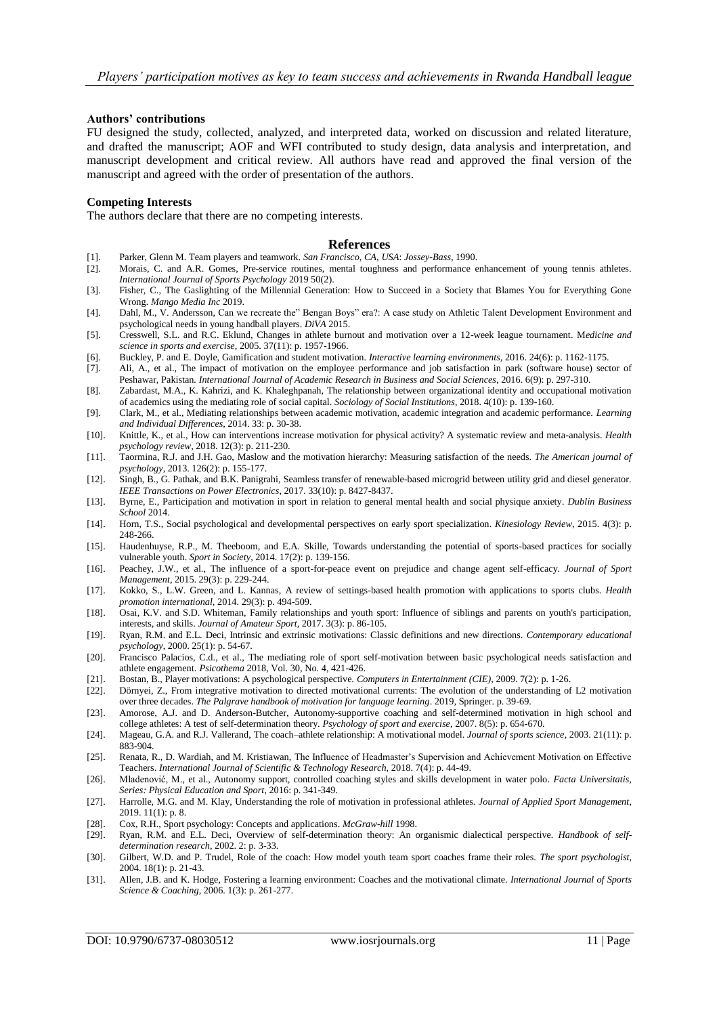#### **Authors' contributions**

FU designed the study, collected, analyzed, and interpreted data, worked on discussion and related literature, and drafted the manuscript; AOF and WFI contributed to study design, data analysis and interpretation, and manuscript development and critical review. All authors have read and approved the final version of the manuscript and agreed with the order of presentation of the authors.

#### **Competing Interests**

The authors declare that there are no competing interests.

#### **References**

- [1]. Parker, Glenn M. Team players and teamwork. *San Francisco, CA, USA*: *Jossey-Bass*, 1990.
- [2]. Morais, C. and A.R. Gomes, Pre-service routines, mental toughness and performance enhancement of young tennis athletes*. International Journal of Sports Psychology* 2019 50(2).
- [3]. Fisher, C., The Gaslighting of the Millennial Generation: How to Succeed in a Society that Blames You for Everything Gone Wrong. *Mango Media Inc* 2019.
- [4]. Dahl, M., V. Andersson, Can we recreate the" Bengan Boys" era?: A case study on Athletic Talent Development Environment and psychological needs in young handball players. *DiVA* 2015.
- [5]. Cresswell, S.L. and R.C. Eklund, Changes in athlete burnout and motivation over a 12-week league tournament. M*edicine and science in sports and exercise*, 2005. 37(11): p. 1957-1966.
- [6]. Buckley, P. and E. Doyle, Gamification and student motivation*. Interactive learning environments,* 2016. 24(6): p. 1162-1175.
- [7]. Ali, A., et al., The impact of motivation on the employee performance and job satisfaction in park (software house) sector of Peshawar, Pakistan*. International Journal of Academic Research in Business and Social Sciences*, 2016. 6(9): p. 297-310.
- [8]. Zabardast, M.A., K. Kahrizi, and K. Khaleghpanah, The relationship between organizational identity and occupational motivation of academics using the mediating role of social capital. *Sociology of Social Institutions*, 2018. 4(10): p. 139-160.
- [9]. Clark, M., et al., Mediating relationships between academic motivation, academic integration and academic performance. *Learning and Individual Differences*, 2014. 33: p. 30-38.
- [10]. Knittle, K., et al., How can interventions increase motivation for physical activity? A systematic review and meta-analysis. *Health psychology review*, 2018. 12(3): p. 211-230.
- [11]. Taormina, R.J. and J.H. Gao, Maslow and the motivation hierarchy: Measuring satisfaction of the needs. *The American journal of psychology*, 2013. 126(2): p. 155-177.
- [12]. Singh, B., G. Pathak, and B.K. Panigrahi, Seamless transfer of renewable-based microgrid between utility grid and diesel generator*. IEEE Transactions on Power Electronics*, 2017. 33(10): p. 8427-8437.
- [13]. Byrne, E., Participation and motivation in sport in relation to general mental health and social physique anxiety*. Dublin Business School* 2014.
- [14]. Horn, T.S., Social psychological and developmental perspectives on early sport specialization. *Kinesiology Review*, 2015. 4(3): p. 248-266.
- [15]. Haudenhuyse, R.P., M. Theeboom, and E.A. Skille, Towards understanding the potential of sports-based practices for socially vulnerable youth. *Sport in Society*, 2014. 17(2): p. 139-156.
- [16]. Peachey, J.W., et al., The influence of a sport-for-peace event on prejudice and change agent self-efficacy. *Journal of Sport Management,* 2015. 29(3): p. 229-244.
- [17]. Kokko, S., L.W. Green, and L. Kannas, A review of settings-based health promotion with applications to sports clubs. *Health promotion international,* 2014. 29(3): p. 494-509.
- [18]. Osai, K.V. and S.D. Whiteman, Family relationships and youth sport: Influence of siblings and parents on youth's participation, interests, and skills. *Journal of Amateur Sport,* 2017. 3(3): p. 86-105.
- [19]. Ryan, R.M. and E.L. Deci, Intrinsic and extrinsic motivations: Classic definitions and new directions. *Contemporary educational psychology*, 2000. 25(1): p. 54-67.
- [20]. Francisco Palacios, C.d., et al., The mediating role of sport self-motivation between basic psychological needs satisfaction and athlete engagement. *Psicothema* 2018, Vol. 30, No. 4, 421-426.
- [21]. Bostan, B., Player motivations: A psychological perspective. *Computers in Entertainment (CIE),* 2009. 7(2): p. 1-26.
- [22]. Dörnyei, Z., From integrative motivation to directed motivational currents: The evolution of the understanding of L2 motivation over three decades. *The Palgrave handbook of motivation for language learning*. 2019, Springer. p. 39-69.
- [23]. Amorose, A.J. and D. Anderson-Butcher, Autonomy-supportive coaching and self-determined motivation in high school and college athletes: A test of self-determination theory. *Psychology of sport and exercise*, 2007. 8(5): p. 654-670.
- [24]. Mageau, G.A. and R.J. Vallerand, The coach–athlete relationship: A motivational model. *Journal of sports science*, 2003. 21(11): p. 883-904.
- [25]. Renata, R., D. Wardiah, and M. Kristiawan, The Influence of Headmaster's Supervision and Achievement Motivation on Effective Teachers. *International Journal of Scientific & Technology Research,* 2018. 7(4): p. 44-49.
- [26]. Mladenović, M., et al., Autonomy support, controlled coaching styles and skills development in water polo*. Facta Universitatis, Series: Physical Education and Sport*, 2016: p. 341-349.
- [27]. Harrolle, M.G. and M. Klay, Understanding the role of motivation in professional athletes. *Journal of Applied Sport Management*, 2019. 11(1): p. 8.
- [28]. Cox, R.H., Sport psychology: Concepts and applications. *McGraw-hill* 1998.
- [29]. Ryan, R.M. and E.L. Deci, Overview of self-determination theory: An organismic dialectical perspective*. Handbook of selfdetermination research*, 2002. 2: p. 3-33.
- [30]. Gilbert, W.D. and P. Trudel, Role of the coach: How model youth team sport coaches frame their roles. *The sport psychologist*, 2004. 18(1): p. 21-43.
- [31]. Allen, J.B. and K. Hodge, Fostering a learning environment: Coaches and the motivational climate. *International Journal of Sports Science & Coaching*, 2006. 1(3): p. 261-277.